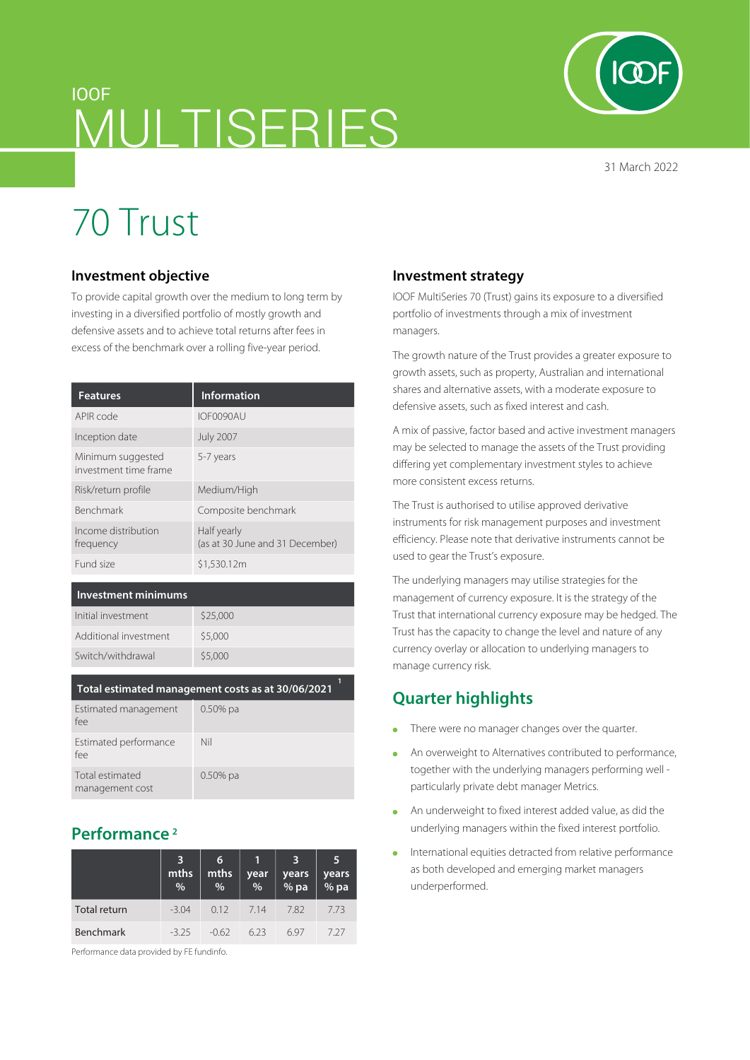# IOOF MULTISERIES

31 March 2022

# 70 Trust

#### **Investment objective**

To provide capital growth over the medium to long term by investing in a diversified portfolio of mostly growth and defensive assets and to achieve total returns after fees in excess of the benchmark over a rolling five-year period.

| <b>Features</b>                            | Information                                    |
|--------------------------------------------|------------------------------------------------|
| APIR code                                  | IOF0090AU                                      |
| Inception date                             | <b>July 2007</b>                               |
| Minimum suggested<br>investment time frame | 5-7 years                                      |
| Risk/return profile                        | Medium/High                                    |
| <b>Benchmark</b>                           | Composite benchmark                            |
| Income distribution<br>frequency           | Half yearly<br>(as at 30 June and 31 December) |
| Fund size                                  | \$1,530.12m                                    |

#### **Investment minimums**

| Initial investment    | \$25,000 |
|-----------------------|----------|
| Additional investment | \$5,000  |
| Switch/withdrawal     | \$5,000  |
|                       |          |

| Total estimated management costs as at 30/06/2021 |
|---------------------------------------------------|
|---------------------------------------------------|

| Estimated management<br>fee        | $0.50\%$ pa |
|------------------------------------|-------------|
| Estimated performance<br>fee       | Nil         |
| Total estimated<br>management cost | $0.50\%$ pa |

## **Performance 2**

|                     | 3<br>mths<br>% | 6<br>mths<br>% | year<br>$\frac{9}{6}$ | 3<br>years<br>% pa | 5<br>years<br>% pa |
|---------------------|----------------|----------------|-----------------------|--------------------|--------------------|
| <b>Total return</b> | $-3.04$        | 0.12           | 7.14                  | 7.82               | 7.73               |
| <b>Benchmark</b>    | $-3.25$        | -062           | 623                   | 697                | 1.27               |

Performance data provided by FE fundinfo.

#### **Investment strategy**

IOOF MultiSeries 70 (Trust) gains its exposure to a diversified portfolio of investments through a mix of investment managers.

The growth nature of the Trust provides a greater exposure to growth assets, such as property, Australian and international shares and alternative assets, with a moderate exposure to defensive assets, such as fixed interest and cash.

A mix of passive, factor based and active investment managers may be selected to manage the assets of the Trust providing differing yet complementary investment styles to achieve more consistent excess returns.

The Trust is authorised to utilise approved derivative instruments for risk management purposes and investment efficiency. Please note that derivative instruments cannot be used to gear the Trust's exposure.

The underlying managers may utilise strategies for the management of currency exposure. It is the strategy of the Trust that international currency exposure may be hedged. The Trust has the capacity to change the level and nature of any currency overlay or allocation to underlying managers to manage currency risk.

# **Quarter highlights**

- There were no manager changes over the quarter.  $\bullet$
- An overweight to Alternatives contributed to performance,  $\bullet$ together with the underlying managers performing well particularly private debt manager Metrics.
- An underweight to fixed interest added value, as did the  $\bullet$ underlying managers within the fixed interest portfolio.
- International equities detracted from relative performance as both developed and emerging market managers underperformed.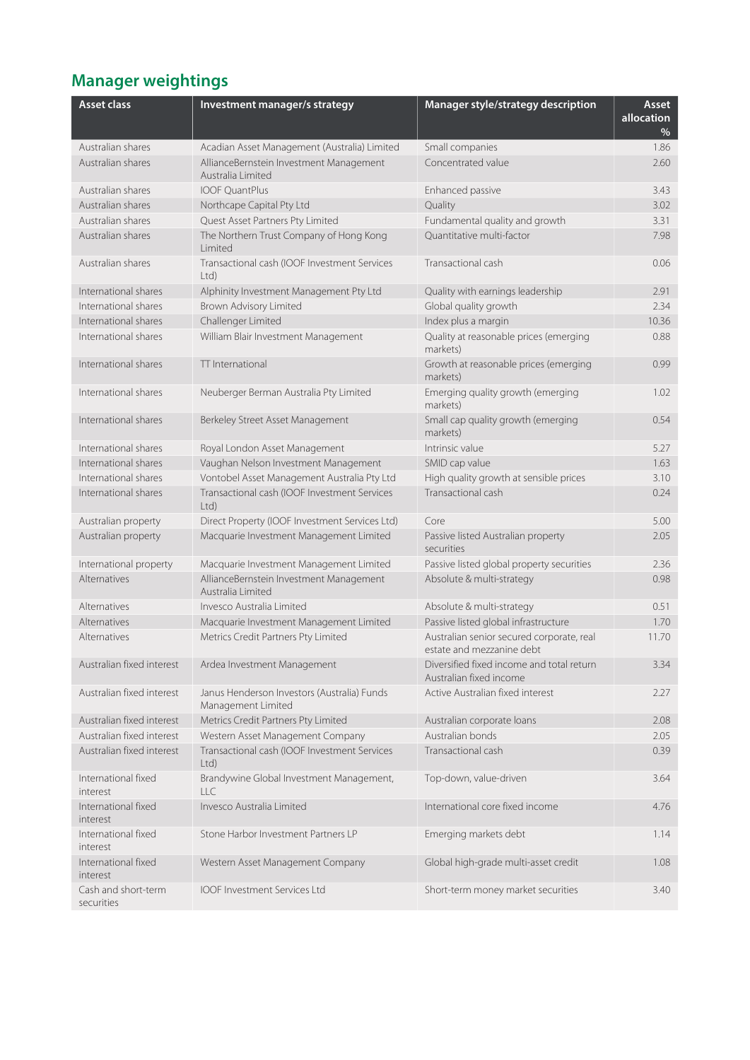# **Manager weightings**

| <b>Asset class</b>                | Investment manager/s strategy                                     | Manager style/strategy description                                     | Asset<br>allocation<br>% |
|-----------------------------------|-------------------------------------------------------------------|------------------------------------------------------------------------|--------------------------|
| Australian shares                 | Acadian Asset Management (Australia) Limited                      | Small companies                                                        | 1.86                     |
| Australian shares                 | AllianceBernstein Investment Management<br>Australia Limited      | Concentrated value                                                     | 2.60                     |
| Australian shares                 | <b>IOOF OuantPlus</b>                                             | Enhanced passive                                                       | 3.43                     |
| Australian shares                 | Northcape Capital Pty Ltd                                         | Quality                                                                | 3.02                     |
| Australian shares                 | Quest Asset Partners Pty Limited                                  | Fundamental quality and growth                                         | 3.31                     |
| Australian shares                 | The Northern Trust Company of Hong Kong<br>Limited                | Ouantitative multi-factor                                              | 7.98                     |
| Australian shares                 | Transactional cash (IOOF Investment Services<br>Ltd)              | Transactional cash                                                     | 0.06                     |
| International shares              | Alphinity Investment Management Pty Ltd                           | Quality with earnings leadership                                       | 2.91                     |
| International shares              | Brown Advisory Limited                                            | Global quality growth                                                  | 2.34                     |
| International shares              | Challenger Limited                                                | Index plus a margin                                                    | 10.36                    |
| International shares              | William Blair Investment Management                               | Quality at reasonable prices (emerging<br>markets)                     | 0.88                     |
| International shares              | TT International                                                  | Growth at reasonable prices (emerging<br>markets)                      | 0.99                     |
| International shares              | Neuberger Berman Australia Pty Limited                            | Emerging quality growth (emerging<br>markets)                          | 1.02                     |
| International shares              | Berkeley Street Asset Management                                  | Small cap quality growth (emerging<br>markets)                         | 0.54                     |
| International shares              | Royal London Asset Management                                     | Intrinsic value                                                        | 5.27                     |
| International shares              | Vaughan Nelson Investment Management                              | SMID cap value                                                         | 1.63                     |
| International shares              | Vontobel Asset Management Australia Pty Ltd                       | High quality growth at sensible prices                                 | 3.10                     |
| International shares              | Transactional cash (IOOF Investment Services<br>Ltd               | Transactional cash                                                     | 0.24                     |
| Australian property               | Direct Property (IOOF Investment Services Ltd)                    | Core                                                                   | 5.00                     |
| Australian property               | Macquarie Investment Management Limited                           | Passive listed Australian property<br>securities                       | 2.05                     |
| International property            | Macquarie Investment Management Limited                           | Passive listed global property securities                              | 2.36                     |
| Alternatives                      | AllianceBernstein Investment Management<br>Australia Limited      | Absolute & multi-strategy                                              | 0.98                     |
| Alternatives                      | Invesco Australia Limited                                         | Absolute & multi-strategy                                              | 0.51                     |
| Alternatives                      | Macquarie Investment Management Limited                           | Passive listed global infrastructure                                   | 1.70                     |
| Alternatives                      | Metrics Credit Partners Pty Limited                               | Australian senior secured corporate, real<br>estate and mezzanine debt | 11.70                    |
| Australian fixed interest         | Ardea Investment Management                                       | Diversified fixed income and total return<br>Australian fixed income   | 3.34                     |
| Australian fixed interest         | Janus Henderson Investors (Australia) Funds<br>Management Limited | Active Australian fixed interest                                       | 2.27                     |
| Australian fixed interest         | Metrics Credit Partners Pty Limited                               | Australian corporate loans                                             | 2.08                     |
| Australian fixed interest         | Western Asset Management Company                                  | Australian bonds                                                       | 2.05                     |
| Australian fixed interest         | Transactional cash (IOOF Investment Services<br>Ltd               | Transactional cash                                                     | 0.39                     |
| International fixed<br>interest   | Brandywine Global Investment Management,<br>H C                   | Top-down, value-driven                                                 | 3.64                     |
| International fixed<br>interest   | Invesco Australia Limited                                         | International core fixed income                                        | 4.76                     |
| International fixed<br>interest   | Stone Harbor Investment Partners LP                               | Emerging markets debt                                                  | 1.14                     |
| International fixed<br>interest   | Western Asset Management Company                                  | Global high-grade multi-asset credit                                   | 1.08                     |
| Cash and short-term<br>securities | <b>IOOF Investment Services Ltd</b>                               | Short-term money market securities                                     | 3.40                     |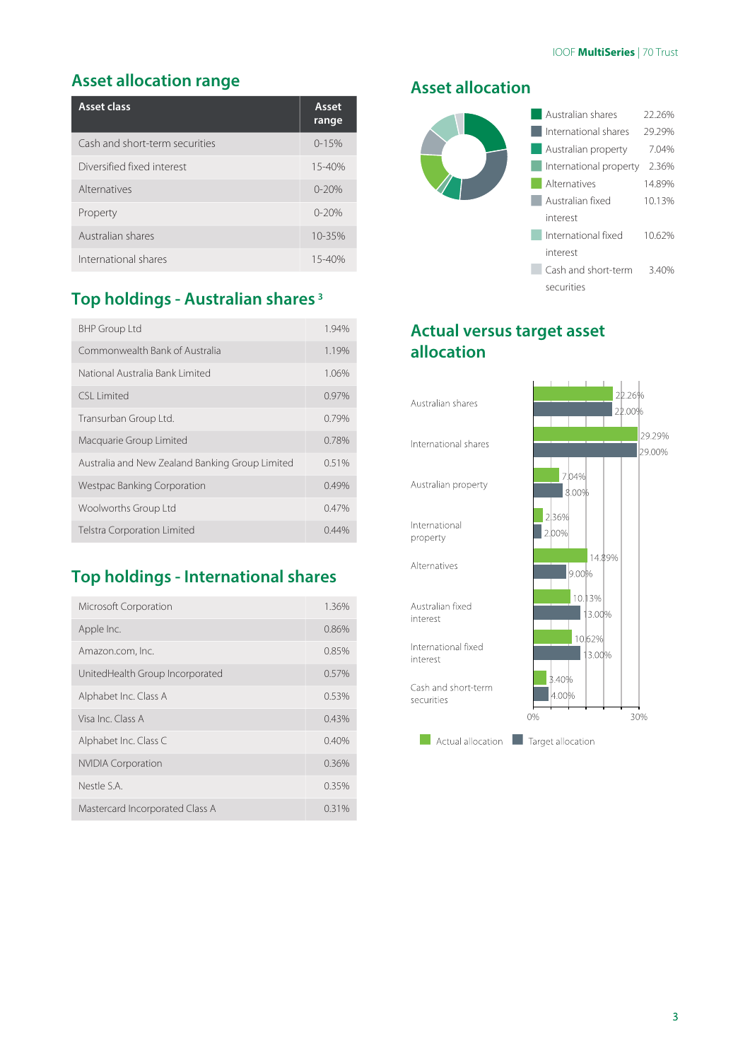### **Asset allocation range**

| Asset class                    | Asset<br>range |
|--------------------------------|----------------|
| Cash and short-term securities | $0 - 15%$      |
| Diversified fixed interest     | 15-40%         |
| Alternatives                   | $0 - 20%$      |
| Property                       | $0 - 20%$      |
| Australian shares              | 10-35%         |
| International shares           | $15 - 40%$     |

# **Top holdings - Australian shares 3**

| <b>BHP Group Ltd</b>                            | 1.94%    |
|-------------------------------------------------|----------|
| Commonwealth Bank of Australia                  | 1.19%    |
| National Australia Bank Limited                 | 1.06%    |
| CSI Limited                                     | 0.97%    |
| Transurban Group Ltd.                           | 0.79%    |
| Macquarie Group Limited                         | 0.78%    |
| Australia and New Zealand Banking Group Limited | 0.51%    |
| Westpac Banking Corporation                     | 0.49%    |
| Woolworths Group Ltd                            | 0.47%    |
| <b>Telstra Corporation Limited</b>              | $0.44\%$ |

# **Top holdings - International shares**

| Microsoft Corporation           | 1.36%    |
|---------------------------------|----------|
| Apple Inc.                      | 0.86%    |
| Amazon.com, Inc.                | 0.85%    |
| UnitedHealth Group Incorporated | 0.57%    |
| Alphabet Inc. Class A           | 0.53%    |
| Visa Inc Class A                | 0.43%    |
| Alphabet Inc. Class C           | 0.40%    |
| <b>NVIDIA Corporation</b>       | 0.36%    |
| Nestle S.A.                     | 0.35%    |
| Mastercard Incorporated Class A | $0.31\%$ |

#### **Asset allocation**



### **Actual versus target asset allocation**